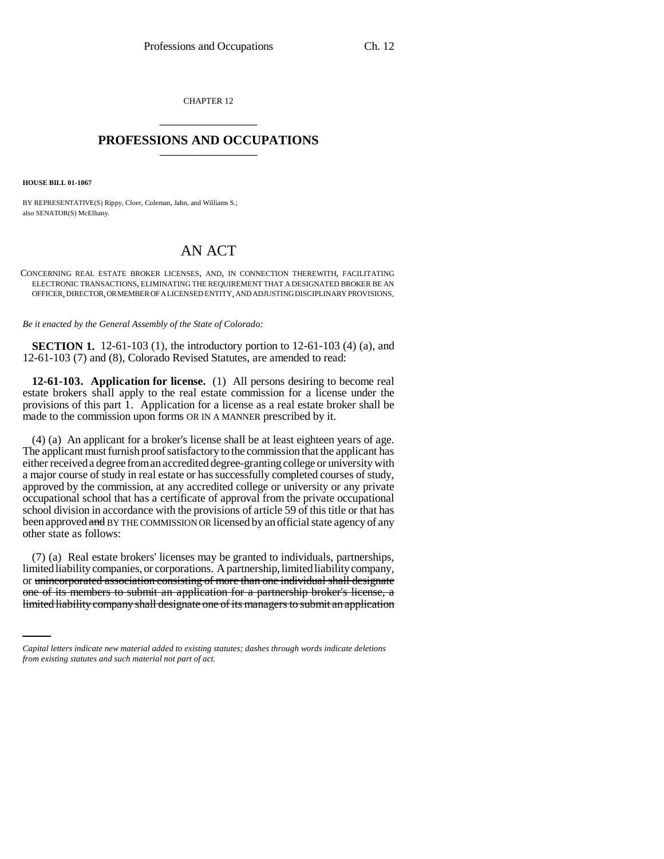CHAPTER 12 \_\_\_\_\_\_\_\_\_\_\_\_\_\_\_

## **PROFESSIONS AND OCCUPATIONS** \_\_\_\_\_\_\_\_\_\_\_\_\_\_\_

**HOUSE BILL 01-1067**

BY REPRESENTATIVE(S) Rippy, Cloer, Coleman, Jahn, and Williams S.; also SENATOR(S) McElhany.

## AN ACT

CONCERNING REAL ESTATE BROKER LICENSES, AND, IN CONNECTION THEREWITH, FACILITATING ELECTRONIC TRANSACTIONS, ELIMINATING THE REQUIREMENT THAT A DESIGNATED BROKER BE AN OFFICER, DIRECTOR, OR MEMBER OF A LICENSED ENTITY, AND ADJUSTING DISCIPLINARY PROVISIONS.

*Be it enacted by the General Assembly of the State of Colorado:*

**SECTION 1.** 12-61-103 (1), the introductory portion to 12-61-103 (4) (a), and 12-61-103 (7) and (8), Colorado Revised Statutes, are amended to read:

**12-61-103. Application for license.** (1) All persons desiring to become real estate brokers shall apply to the real estate commission for a license under the provisions of this part 1. Application for a license as a real estate broker shall be made to the commission upon forms OR IN A MANNER prescribed by it.

(4) (a) An applicant for a broker's license shall be at least eighteen years of age. The applicant must furnish proof satisfactory to the commission that the applicant has either received a degree from an accredited degree-granting college or university with a major course of study in real estate or has successfully completed courses of study, approved by the commission, at any accredited college or university or any private occupational school that has a certificate of approval from the private occupational school division in accordance with the provisions of article 59 of this title or that has been approved and BY THE COMMISSION OR licensed by an official state agency of any other state as follows:

or unincorporated association consisting of more than one individual shall designate (7) (a) Real estate brokers' licenses may be granted to individuals, partnerships, limited liability companies, or corporations. A partnership, limited liability company, one of its members to submit an application for a partnership broker's license, a limited liability company shall designate one of its managers to submit an application

*Capital letters indicate new material added to existing statutes; dashes through words indicate deletions from existing statutes and such material not part of act.*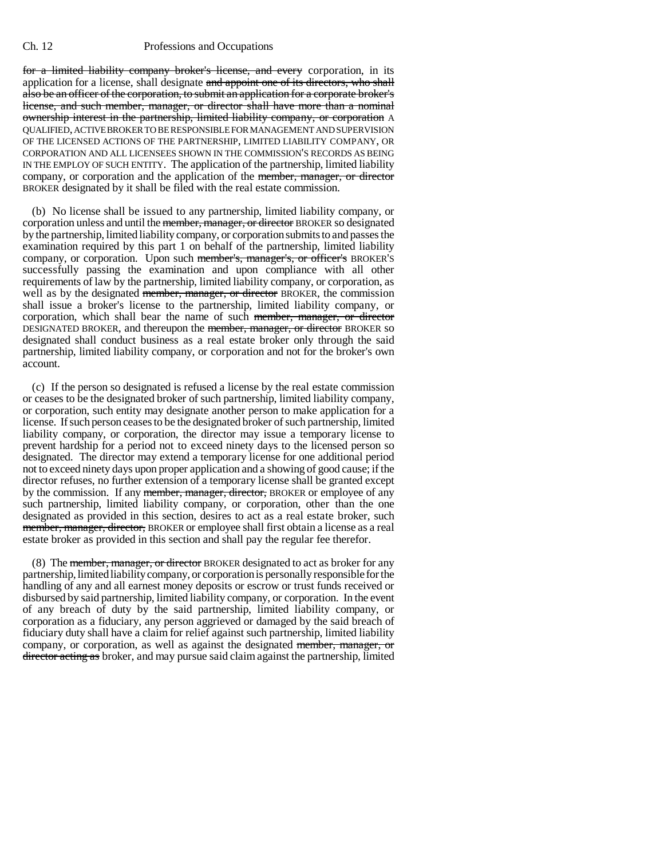## Ch. 12 Professions and Occupations

for a limited liability company broker's license, and every corporation, in its application for a license, shall designate and appoint one of its directors, who shall also be an officer of the corporation, to submit an application for a corporate broker's license, and such member, manager, or director shall have more than a nominal ownership interest in the partnership, limited liability company, or corporation A QUALIFIED, ACTIVE BROKER TO BE RESPONSIBLE FOR MANAGEMENT AND SUPERVISION OF THE LICENSED ACTIONS OF THE PARTNERSHIP, LIMITED LIABILITY COMPANY, OR CORPORATION AND ALL LICENSEES SHOWN IN THE COMMISSION'S RECORDS AS BEING IN THE EMPLOY OF SUCH ENTITY. The application of the partnership, limited liability company, or corporation and the application of the member, manager, or director BROKER designated by it shall be filed with the real estate commission.

(b) No license shall be issued to any partnership, limited liability company, or corporation unless and until the <del>member, manager, or director</del> BROKER so designated by the partnership, limited liability company, or corporation submits to and passes the examination required by this part 1 on behalf of the partnership, limited liability company, or corporation. Upon such member's, manager's, or officer's BROKER'S successfully passing the examination and upon compliance with all other requirements of law by the partnership, limited liability company, or corporation, as well as by the designated member, manager, or director BROKER, the commission shall issue a broker's license to the partnership, limited liability company, or corporation, which shall bear the name of such member, manager, or director DESIGNATED BROKER, and thereupon the member, manager, or director BROKER so designated shall conduct business as a real estate broker only through the said partnership, limited liability company, or corporation and not for the broker's own account.

(c) If the person so designated is refused a license by the real estate commission or ceases to be the designated broker of such partnership, limited liability company, or corporation, such entity may designate another person to make application for a license. If such person ceases to be the designated broker of such partnership, limited liability company, or corporation, the director may issue a temporary license to prevent hardship for a period not to exceed ninety days to the licensed person so designated. The director may extend a temporary license for one additional period not to exceed ninety days upon proper application and a showing of good cause; if the director refuses, no further extension of a temporary license shall be granted except by the commission. If any member, manager, director, BROKER or employee of any such partnership, limited liability company, or corporation, other than the one designated as provided in this section, desires to act as a real estate broker, such member, manager, director, BROKER or employee shall first obtain a license as a real estate broker as provided in this section and shall pay the regular fee therefor.

(8) The member, manager, or director BROKER designated to act as broker for any partnership, limited liability company, or corporation is personally responsible for the handling of any and all earnest money deposits or escrow or trust funds received or disbursed by said partnership, limited liability company, or corporation. In the event of any breach of duty by the said partnership, limited liability company, or corporation as a fiduciary, any person aggrieved or damaged by the said breach of fiduciary duty shall have a claim for relief against such partnership, limited liability company, or corporation, as well as against the designated member, manager, or director acting as broker, and may pursue said claim against the partnership, limited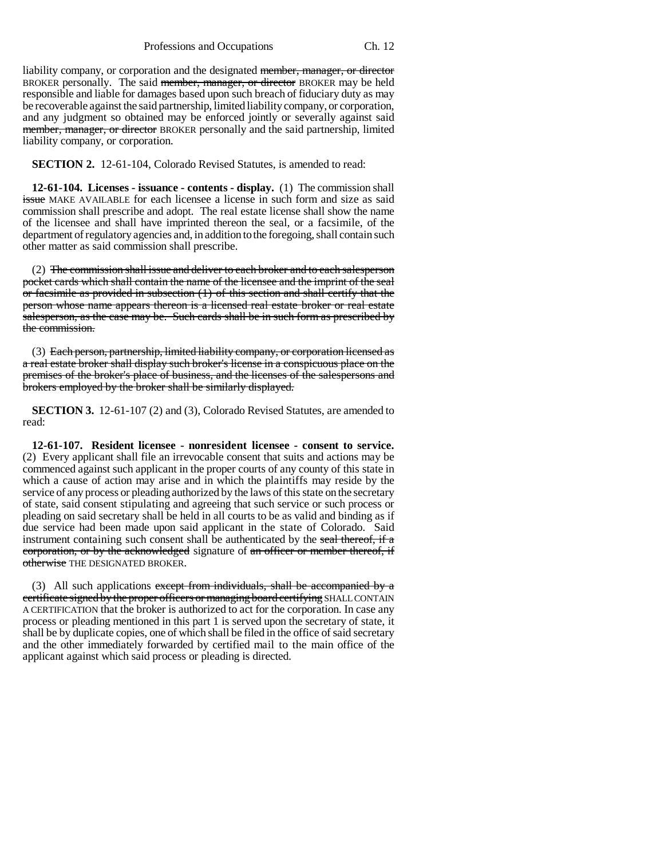liability company, or corporation and the designated member, manager, or director BROKER personally. The said member, manager, or director BROKER may be held responsible and liable for damages based upon such breach of fiduciary duty as may be recoverable against the said partnership, limited liability company, or corporation, and any judgment so obtained may be enforced jointly or severally against said member, manager, or director BROKER personally and the said partnership, limited liability company, or corporation.

**SECTION 2.** 12-61-104, Colorado Revised Statutes, is amended to read:

**12-61-104. Licenses - issuance - contents - display.** (1) The commission shall issue MAKE AVAILABLE for each licensee a license in such form and size as said commission shall prescribe and adopt. The real estate license shall show the name of the licensee and shall have imprinted thereon the seal, or a facsimile, of the department of regulatory agencies and, in addition to the foregoing, shall contain such other matter as said commission shall prescribe.

(2) The commission shall issue and deliver to each broker and to each salesperson pocket cards which shall contain the name of the licensee and the imprint of the seal or facsimile as provided in subsection (1) of this section and shall certify that the person whose name appears thereon is a licensed real estate broker or real estate salesperson, as the case may be. Such cards shall be in such form as prescribed by the commission.

(3) Each person, partnership, limited liability company, or corporation licensed as a real estate broker shall display such broker's license in a conspicuous place on the premises of the broker's place of business, and the licenses of the salespersons and brokers employed by the broker shall be similarly displayed.

**SECTION 3.** 12-61-107 (2) and (3), Colorado Revised Statutes, are amended to read:

**12-61-107. Resident licensee - nonresident licensee - consent to service.** (2) Every applicant shall file an irrevocable consent that suits and actions may be commenced against such applicant in the proper courts of any county of this state in which a cause of action may arise and in which the plaintiffs may reside by the service of any process or pleading authorized by the laws of this state on the secretary of state, said consent stipulating and agreeing that such service or such process or pleading on said secretary shall be held in all courts to be as valid and binding as if due service had been made upon said applicant in the state of Colorado. Said instrument containing such consent shall be authenticated by the seal thereof, if a corporation, or by the acknowledged signature of an officer or member thereof, if otherwise THE DESIGNATED BROKER.

(3) All such applications except from individuals, shall be accompanied by a certificate signed by the proper officers or managing board certifying SHALL CONTAIN A CERTIFICATION that the broker is authorized to act for the corporation. In case any process or pleading mentioned in this part 1 is served upon the secretary of state, it shall be by duplicate copies, one of which shall be filed in the office of said secretary and the other immediately forwarded by certified mail to the main office of the applicant against which said process or pleading is directed.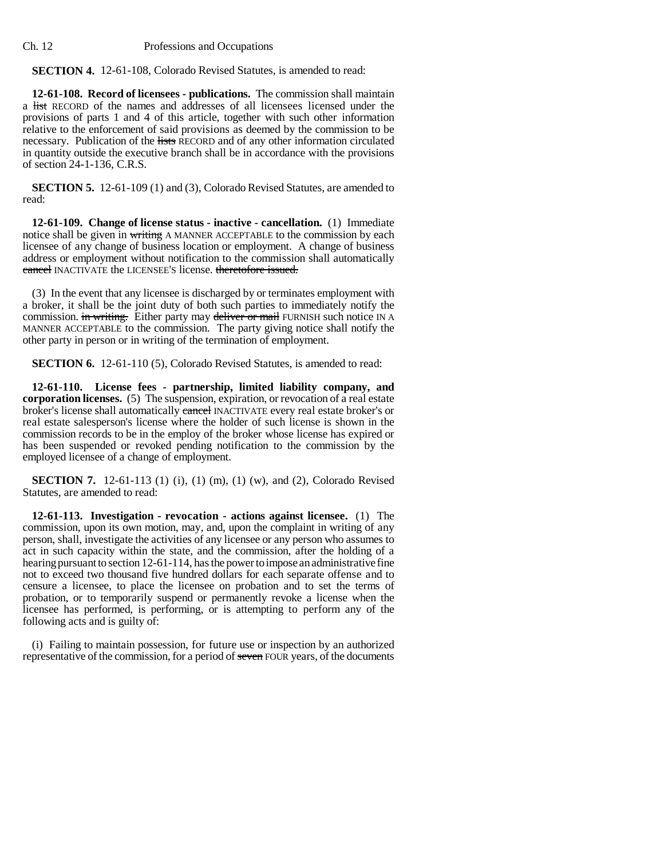Ch. 12 Professions and Occupations

**SECTION 4.** 12-61-108, Colorado Revised Statutes, is amended to read:

**12-61-108. Record of licensees - publications.** The commission shall maintain a list RECORD of the names and addresses of all licensees licensed under the provisions of parts 1 and 4 of this article, together with such other information relative to the enforcement of said provisions as deemed by the commission to be necessary. Publication of the lists RECORD and of any other information circulated in quantity outside the executive branch shall be in accordance with the provisions of section 24-1-136, C.R.S.

**SECTION 5.** 12-61-109 (1) and (3), Colorado Revised Statutes, are amended to read:

**12-61-109. Change of license status - inactive - cancellation.** (1) Immediate notice shall be given in writing A MANNER ACCEPTABLE to the commission by each licensee of any change of business location or employment. A change of business address or employment without notification to the commission shall automatically cancel INACTIVATE the LICENSEE'S license. theretofore issued.

(3) In the event that any licensee is discharged by or terminates employment with a broker, it shall be the joint duty of both such parties to immediately notify the commission. in writing. Either party may deliver or mail FURNISH such notice IN A MANNER ACCEPTABLE to the commission. The party giving notice shall notify the other party in person or in writing of the termination of employment.

**SECTION 6.** 12-61-110 (5), Colorado Revised Statutes, is amended to read:

**12-61-110. License fees - partnership, limited liability company, and corporation licenses.** (5) The suspension, expiration, or revocation of a real estate broker's license shall automatically eareel INACTIVATE every real estate broker's or real estate salesperson's license where the holder of such license is shown in the commission records to be in the employ of the broker whose license has expired or has been suspended or revoked pending notification to the commission by the employed licensee of a change of employment.

**SECTION 7.** 12-61-113 (1) (i), (1) (m), (1) (w), and (2), Colorado Revised Statutes, are amended to read:

**12-61-113. Investigation - revocation - actions against licensee.** (1) The commission, upon its own motion, may, and, upon the complaint in writing of any person, shall, investigate the activities of any licensee or any person who assumes to act in such capacity within the state, and the commission, after the holding of a hearing pursuant to section 12-61-114, has the power to impose an administrative fine not to exceed two thousand five hundred dollars for each separate offense and to censure a licensee, to place the licensee on probation and to set the terms of probation, or to temporarily suspend or permanently revoke a license when the licensee has performed, is performing, or is attempting to perform any of the following acts and is guilty of:

(i) Failing to maintain possession, for future use or inspection by an authorized representative of the commission, for a period of seven FOUR years, of the documents